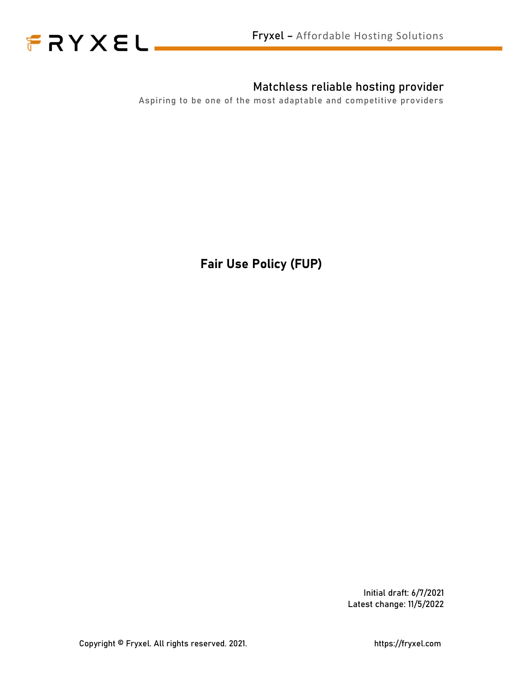



#### Matchless reliable hosting provider

Aspiring to be one of the most adaptable and competitive providers

Fair Use Policy (FUP)

Initial draft: 6/7/2021 Latest change: 11/5/2022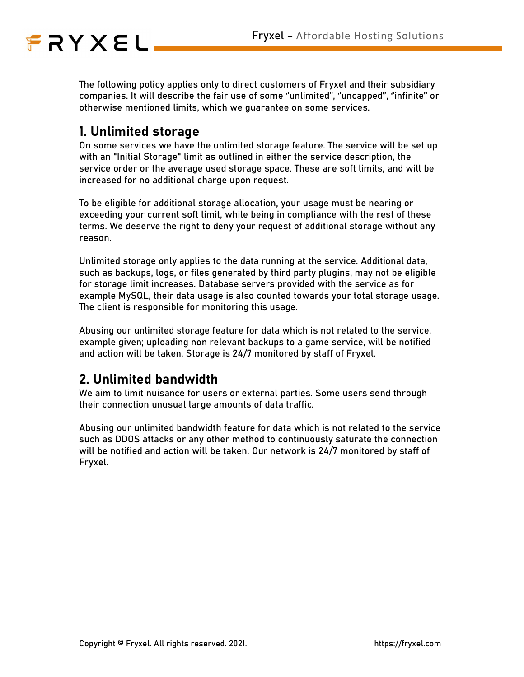# FRYXEL\_

The following policy applies only to direct customers of Fryxel and their subsidiary companies. It will describe the fair use of some ''unlimited'', ''uncapped'', ''infinite'' or otherwise mentioned limits, which we guarantee on some services.

## 1. Unlimited storage

On some services we have the unlimited storage feature. The service will be set up with an "Initial Storage" limit as outlined in either the service description, the service order or the average used storage space. These are soft limits, and will be increased for no additional charge upon request.

To be eligible for additional storage allocation, your usage must be nearing or exceeding your current soft limit, while being in compliance with the rest of these terms. We deserve the right to deny your request of additional storage without any reason.

Unlimited storage only applies to the data running at the service. Additional data, such as backups, logs, or files generated by third party plugins, may not be eligible for storage limit increases. Database servers provided with the service as for example MySQL, their data usage is also counted towards your total storage usage. The client is responsible for monitoring this usage.

Abusing our unlimited storage feature for data which is not related to the service, example given; uploading non relevant backups to a game service, will be notified and action will be taken. Storage is 24/7 monitored by staff of Fryxel.

### 2. Unlimited bandwidth

We aim to limit nuisance for users or external parties. Some users send through their connection unusual large amounts of data traffic.

Abusing our unlimited bandwidth feature for data which is not related to the service such as DDOS attacks or any other method to continuously saturate the connection will be notified and action will be taken. Our network is 24/7 monitored by staff of Fryxel.